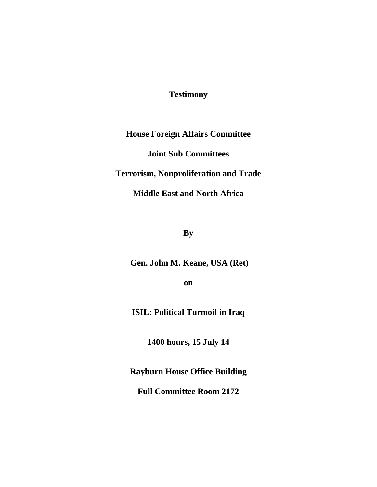**Testimony**

**House Foreign Affairs Committee**

**Joint Sub Committees**

**Terrorism, Nonproliferation and Trade**

**Middle East and North Africa**

**By**

**Gen. John M. Keane, USA (Ret)**

**on**

**ISIL: Political Turmoil in Iraq**

**1400 hours, 15 July 14**

**Rayburn House Office Building**

**Full Committee Room 2172**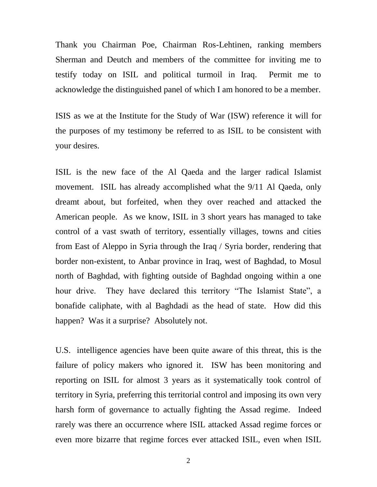Thank you Chairman Poe, Chairman Ros-Lehtinen, ranking members Sherman and Deutch and members of the committee for inviting me to testify today on ISIL and political turmoil in Iraq. Permit me to acknowledge the distinguished panel of which I am honored to be a member.

ISIS as we at the Institute for the Study of War (ISW) reference it will for the purposes of my testimony be referred to as ISIL to be consistent with your desires.

ISIL is the new face of the Al Qaeda and the larger radical Islamist movement. ISIL has already accomplished what the 9/11 Al Qaeda, only dreamt about, but forfeited, when they over reached and attacked the American people. As we know, ISIL in 3 short years has managed to take control of a vast swath of territory, essentially villages, towns and cities from East of Aleppo in Syria through the Iraq / Syria border, rendering that border non-existent, to Anbar province in Iraq, west of Baghdad, to Mosul north of Baghdad, with fighting outside of Baghdad ongoing within a one hour drive. They have declared this territory "The Islamist State", a bonafide caliphate, with al Baghdadi as the head of state. How did this happen? Was it a surprise? Absolutely not.

U.S. intelligence agencies have been quite aware of this threat, this is the failure of policy makers who ignored it. ISW has been monitoring and reporting on ISIL for almost 3 years as it systematically took control of territory in Syria, preferring this territorial control and imposing its own very harsh form of governance to actually fighting the Assad regime. Indeed rarely was there an occurrence where ISIL attacked Assad regime forces or even more bizarre that regime forces ever attacked ISIL, even when ISIL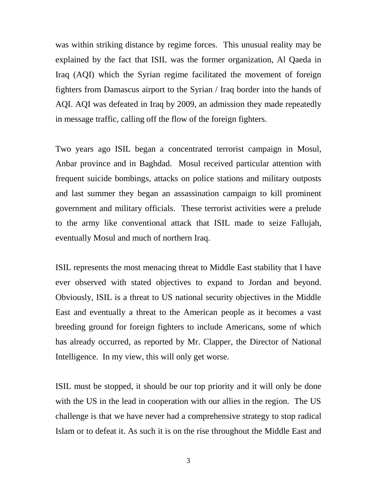was within striking distance by regime forces. This unusual reality may be explained by the fact that ISIL was the former organization, Al Qaeda in Iraq (AQI) which the Syrian regime facilitated the movement of foreign fighters from Damascus airport to the Syrian / Iraq border into the hands of AQI. AQI was defeated in Iraq by 2009, an admission they made repeatedly in message traffic, calling off the flow of the foreign fighters.

Two years ago ISIL began a concentrated terrorist campaign in Mosul, Anbar province and in Baghdad. Mosul received particular attention with frequent suicide bombings, attacks on police stations and military outposts and last summer they began an assassination campaign to kill prominent government and military officials. These terrorist activities were a prelude to the army like conventional attack that ISIL made to seize Fallujah, eventually Mosul and much of northern Iraq.

ISIL represents the most menacing threat to Middle East stability that I have ever observed with stated objectives to expand to Jordan and beyond. Obviously, ISIL is a threat to US national security objectives in the Middle East and eventually a threat to the American people as it becomes a vast breeding ground for foreign fighters to include Americans, some of which has already occurred, as reported by Mr. Clapper, the Director of National Intelligence. In my view, this will only get worse.

ISIL must be stopped, it should be our top priority and it will only be done with the US in the lead in cooperation with our allies in the region. The US challenge is that we have never had a comprehensive strategy to stop radical Islam or to defeat it. As such it is on the rise throughout the Middle East and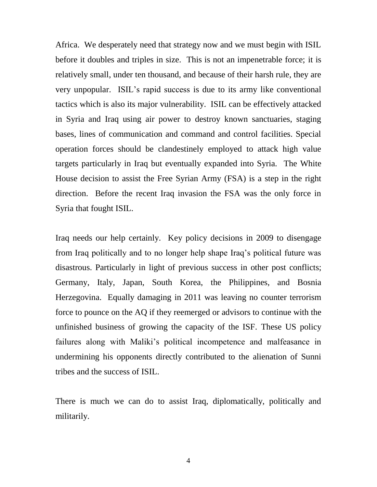Africa. We desperately need that strategy now and we must begin with ISIL before it doubles and triples in size. This is not an impenetrable force; it is relatively small, under ten thousand, and because of their harsh rule, they are very unpopular. ISIL's rapid success is due to its army like conventional tactics which is also its major vulnerability. ISIL can be effectively attacked in Syria and Iraq using air power to destroy known sanctuaries, staging bases, lines of communication and command and control facilities. Special operation forces should be clandestinely employed to attack high value targets particularly in Iraq but eventually expanded into Syria. The White House decision to assist the Free Syrian Army (FSA) is a step in the right direction. Before the recent Iraq invasion the FSA was the only force in Syria that fought ISIL.

Iraq needs our help certainly. Key policy decisions in 2009 to disengage from Iraq politically and to no longer help shape Iraq's political future was disastrous. Particularly in light of previous success in other post conflicts; Germany, Italy, Japan, South Korea, the Philippines, and Bosnia Herzegovina. Equally damaging in 2011 was leaving no counter terrorism force to pounce on the AQ if they reemerged or advisors to continue with the unfinished business of growing the capacity of the ISF. These US policy failures along with Maliki's political incompetence and malfeasance in undermining his opponents directly contributed to the alienation of Sunni tribes and the success of ISIL.

There is much we can do to assist Iraq, diplomatically, politically and militarily.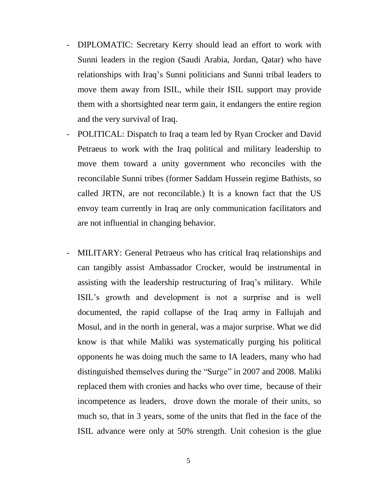- DIPLOMATIC: Secretary Kerry should lead an effort to work with Sunni leaders in the region (Saudi Arabia, Jordan, Qatar) who have relationships with Iraq's Sunni politicians and Sunni tribal leaders to move them away from ISIL, while their ISIL support may provide them with a shortsighted near term gain, it endangers the entire region and the very survival of Iraq.
- POLITICAL: Dispatch to Iraq a team led by Ryan Crocker and David Petraeus to work with the Iraq political and military leadership to move them toward a unity government who reconciles with the reconcilable Sunni tribes (former Saddam Hussein regime Bathists, so called JRTN, are not reconcilable.) It is a known fact that the US envoy team currently in Iraq are only communication facilitators and are not influential in changing behavior.
- MILITARY: General Petraeus who has critical Iraq relationships and can tangibly assist Ambassador Crocker, would be instrumental in assisting with the leadership restructuring of Iraq's military. While ISIL's growth and development is not a surprise and is well documented, the rapid collapse of the Iraq army in Fallujah and Mosul, and in the north in general, was a major surprise. What we did know is that while Maliki was systematically purging his political opponents he was doing much the same to IA leaders, many who had distinguished themselves during the "Surge" in 2007 and 2008. Maliki replaced them with cronies and hacks who over time, because of their incompetence as leaders, drove down the morale of their units, so much so, that in 3 years, some of the units that fled in the face of the ISIL advance were only at 50% strength. Unit cohesion is the glue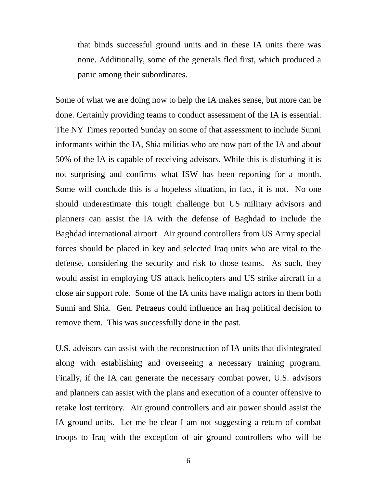that binds successful ground units and in these IA units there was none. Additionally, some of the generals fled first, which produced a panic among their subordinates.

Some of what we are doing now to help the IA makes sense, but more can be done. Certainly providing teams to conduct assessment of the IA is essential. The NY Times reported Sunday on some of that assessment to include Sunni informants within the IA, Shia militias who are now part of the IA and about 50% of the IA is capable of receiving advisors. While this is disturbing it is not surprising and confirms what ISW has been reporting for a month. Some will conclude this is a hopeless situation, in fact, it is not. No one should underestimate this tough challenge but US military advisors and planners can assist the IA with the defense of Baghdad to include the Baghdad international airport. Air ground controllers from US Army special forces should be placed in key and selected Iraq units who are vital to the defense, considering the security and risk to those teams. As such, they would assist in employing US attack helicopters and US strike aircraft in a close air support role. Some of the IA units have malign actors in them both Sunni and Shia. Gen. Petraeus could influence an Iraq political decision to remove them. This was successfully done in the past.

U.S. advisors can assist with the reconstruction of IA units that disintegrated along with establishing and overseeing a necessary training program. Finally, if the IA can generate the necessary combat power, U.S. advisors and planners can assist with the plans and execution of a counter offensive to retake lost territory. Air ground controllers and air power should assist the IA ground units. Let me be clear I am not suggesting a return of combat troops to Iraq with the exception of air ground controllers who will be